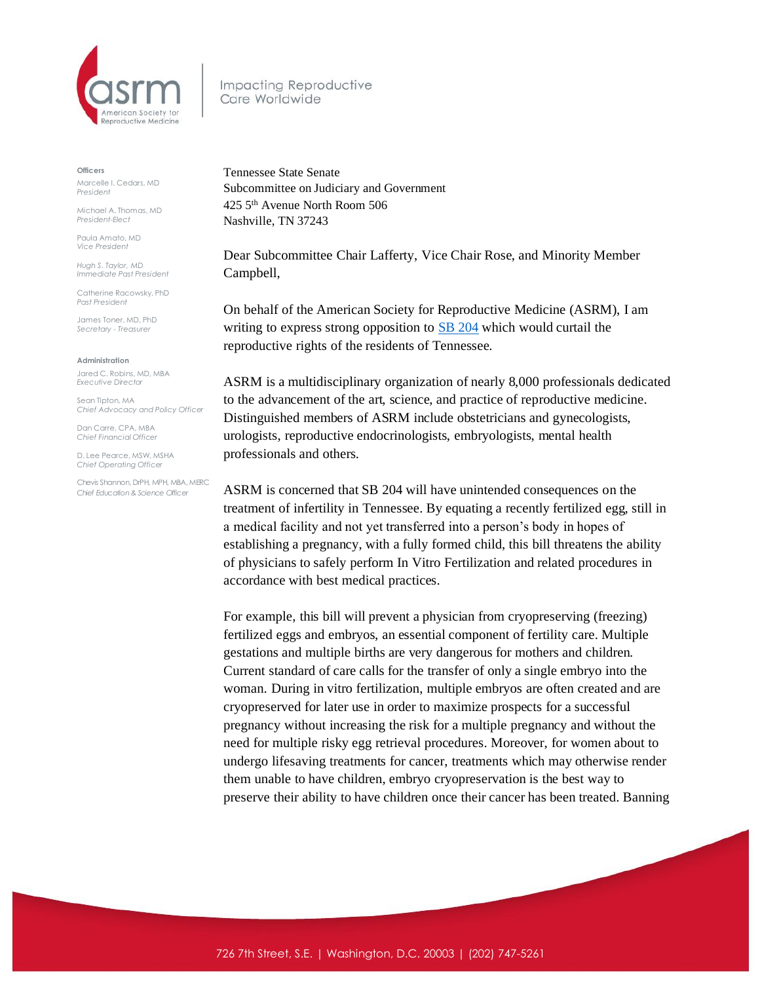

Impacting Reproductive Care Worldwide

**Officers**

Marcelle I. Cedars, MD *President*

Michael A. Thomas, MD *President-Elect*

Paula Amato, MD *Vice President*

*Hugh S. Taylor, MD Immediate Past President*

Catherine Racowsky, PhD *Past President*

James Toner, MD, PhD *Secretary - Treasurer* 

**Administration**

Jared C. Robins, MD, MBA *Executive Director*

Sean Tipton, MA *Chief Advocacy and Policy Officer*

Dan Carre, CPA, MBA *Chief Financial Officer*

D. Lee Pearce, MSW, MSHA *Chief Operating Officer* 

Chevis Shannon, DrPH, MPH, MBA, MERC *Chief Education & Science Officer*

Tennessee State Senate Subcommittee on Judiciary and Government 425 5th Avenue North Room 506 Nashville, TN 37243

Dear Subcommittee Chair Lafferty, Vice Chair Rose, and Minority Member Campbell,

On behalf of the American Society for Reproductive Medicine (ASRM), I am writing to express strong opposition to **SB 204** which would curtail the reproductive rights of the residents of Tennessee.

ASRM is a multidisciplinary organization of nearly 8,000 professionals dedicated to the advancement of the art, science, and practice of reproductive medicine. Distinguished members of ASRM include obstetricians and gynecologists, urologists, reproductive endocrinologists, embryologists, mental health professionals and others.

ASRM is concerned that SB 204 will have unintended consequences on the treatment of infertility in Tennessee. By equating a recently fertilized egg, still in a medical facility and not yet transferred into a person's body in hopes of establishing a pregnancy, with a fully formed child, this bill threatens the ability of physicians to safely perform In Vitro Fertilization and related procedures in accordance with best medical practices.

For example, this bill will prevent a physician from cryopreserving (freezing) fertilized eggs and embryos, an essential component of fertility care. Multiple gestations and multiple births are very dangerous for mothers and children. Current standard of care calls for the transfer of only a single embryo into the woman. During in vitro fertilization, multiple embryos are often created and are cryopreserved for later use in order to maximize prospects for a successful pregnancy without increasing the risk for a multiple pregnancy and without the need for multiple risky egg retrieval procedures. Moreover, for women about to undergo lifesaving treatments for cancer, treatments which may otherwise render them unable to have children, embryo cryopreservation is the best way to preserve their ability to have children once their cancer has been treated. Banning